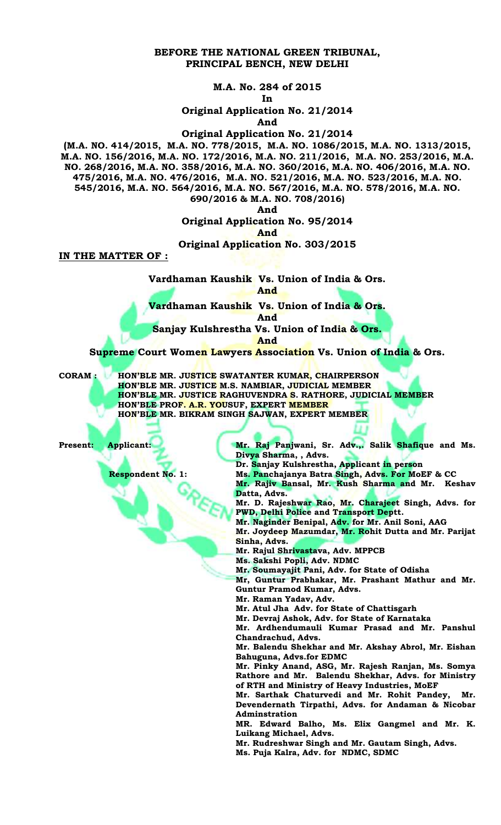#### **BEFORE THE NATIONAL GREEN TRIBUNAL, PRINCIPAL BENCH, NEW DELHI**

**M.A. No. 284 of 2015**

**In**

**Original Application No. 21/2014**

**And**

**Original Application No. 21/2014**

**(M.A. NO. 414/2015, M.A. NO. 778/2015, M.A. NO. 1086/2015, M.A. NO. 1313/2015, M.A. NO. 156/2016, M.A. NO. 172/2016, M.A. NO. 211/2016, M.A. NO. 253/2016, M.A. NO. 268/2016, M.A. NO. 358/2016, M.A. NO. 360/2016, M.A. NO. 406/2016, M.A. NO. 475/2016, M.A. NO. 476/2016, M.A. NO. 521/2016, M.A. NO. 523/2016, M.A. NO. 545/2016, M.A. NO. 564/2016, M.A. NO. 567/2016, M.A. NO. 578/2016, M.A. NO. 690/2016 & M.A. NO. 708/2016)**

**And** 

**Original Application No. 95/2014**

**And** 

#### **Original Application No. 303/2015**

**IN THE MATTER OF :**

**Vardhaman Kaushik Vs. Union of India & Ors. And** 

**Vardhaman Kaushik Vs. Union of India & Ors.**

**And** 

**Sanjay Kulshrestha Vs. Union of India & Ors.**

**And** 

**Supreme Court Women Lawyers Association Vs. Union of India & Ors.** 

**CORAM : HON'BLE MR. JUSTICE SWATANTER KUMAR, CHAIRPERSON HON'BLE MR. JUSTICE M.S. NAMBIAR, JUDICIAL MEMBER HON'BLE MR. JUSTICE RAGHUVENDRA S. RATHORE, JUDICIAL MEMBER HON'BLE PROF. A.R. YOUSUF, EXPERT MEMBER HON'BLE MR. BIKRAM SINGH SAJWAN, EXPERT MEMBER**

**Present: Applicant:** Mr. Raj Panjwani, Sr. Adv.,. Salik Shafique and Ms. **Divya Sharma, , Advs.**

**Dr. Sanjay Kulshrestha, Applicant in person**

 **Respondent No. 1: Ms. Panchajanya Batra Singh, Advs. For MoEF & CC**

**Mr. Rajiv Bansal, Mr. Kush Sharma and Mr. Keshav Datta, Advs.** 

**Mr. D. Rajeshwar Rao, Mr. Charajeet Singh, Advs. for PWD, Delhi Police and Transport Deptt.**

**Mr. Naginder Benipal, Adv. for Mr. Anil Soni, AAG**

**Mr. Joydeep Mazumdar, Mr. Rohit Dutta and Mr. Parijat Sinha, Advs.**

**Mr. Rajul Shrivastava, Adv. MPPCB**

**Ms. Sakshi Popli, Adv. NDMC**

**Mr. Soumayajit Pani, Adv. for State of Odisha**

**Mr, Guntur Prabhakar, Mr. Prashant Mathur and Mr. Guntur Pramod Kumar, Advs.** 

**Mr. Raman Yadav, Adv.** 

**Mr. Atul Jha Adv. for State of Chattisgarh**

**Mr. Devraj Ashok, Adv. for State of Karnataka**

**Mr. Ardhendumauli Kumar Prasad and Mr. Panshul Chandrachud, Advs. Mr. Balendu Shekhar and Mr. Akshay Abrol, Mr. Eishan** 

**Bahuguna, Advs.for EDMC**

**Mr. Pinky Anand, ASG, Mr. Rajesh Ranjan, Ms. Somya Rathore and Mr. Balendu Shekhar, Advs. for Ministry of RTH and Ministry of Heavy Industries, MoEF**

**Mr. Sarthak Chaturvedi and Mr. Rohit Pandey, Mr. Devendernath Tirpathi, Advs. for Andaman & Nicobar Adminstration**

**MR. Edward Balho, Ms. Elix Gangmel and Mr. K. Luikang Michael, Advs.** 

**Mr. Rudreshwar Singh and Mr. Gautam Singh, Advs.**

**Ms. Puja Kalra, Adv. for NDMC, SDMC**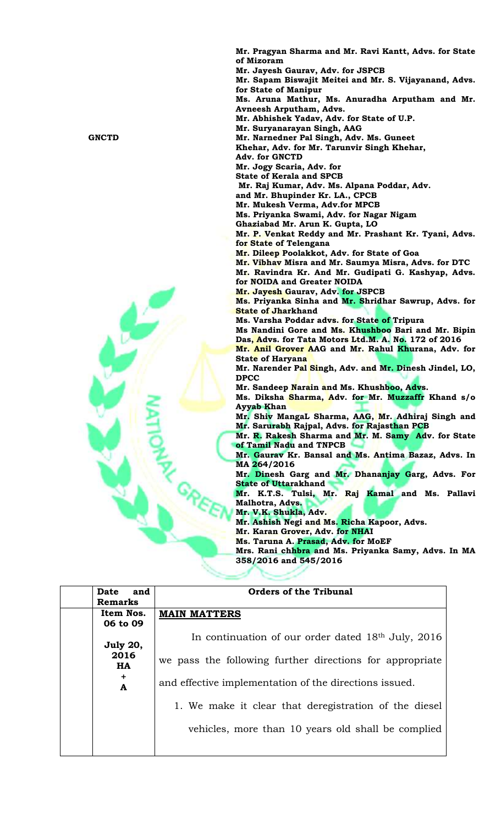**Mr. Pragyan Sharma and Mr. Ravi Kantt, Advs. for State of Mizoram Mr. Jayesh Gaurav, Adv. for JSPCB Mr. Sapam Biswajit Meitei and Mr. S. Vijayanand, Advs. for State of Manipur Ms. Aruna Mathur, Ms. Anuradha Arputham and Mr. Avneesh Arputham, Advs. Mr. Abhishek Yadav, Adv. for State of U.P. Mr. Suryanarayan Singh, AAG GNCTD Mr. Narnedner Pal Singh, Adv. Ms. Guneet Khehar, Adv. for Mr. Tarunvir Singh Khehar, Adv. for GNCTD Mr. Jogy Scaria, Adv. for State of Kerala and SPCB Mr. Raj Kumar, Adv. Ms. Alpana Poddar, Adv. and Mr. Bhupinder Kr. LA., CPCB Mr. Mukesh Verma, Adv.for MPCB Ms. Priyanka Swami, Adv. for Nagar Nigam Ghaziabad Mr. Arun K. Gupta, LO Mr. P. Venkat Reddy and Mr. Prashant Kr. Tyani, Advs. for State of Telengana Mr. Dileep Poolakkot, Adv. for State of Goa Mr. Vibhav Misra and Mr. Saumya Misra, Advs. for DTC Mr. Ravindra Kr. And Mr. Gudipati G. Kashyap, Advs. for NOIDA and Greater NOIDA Mr. Jayesh Gaurav, Adv. for JSPCB Ms. Priyanka Sinha and Mr. Shridhar Sawrup, Advs. for State of Jharkhand Ms. Varsha Poddar advs. for State of Tripura Ms Nandini Gore and Ms. Khushboo Bari and Mr. Bipin Das, Advs. for Tata Motors Ltd.M. A. No. 172 of 2016 Mr. Anil Grover AAG and Mr. Rahul Khurana, Adv. for State of Haryana Mr. Narender Pal Singh, Adv. and Mr. Dinesh Jindel, LO, DPCC Mr. Sandeep Narain and Ms. Khushboo, Advs. Ms. Diksha Sharma, Adv. for Mr. Muzzaffr Khand s/o Ayyab Khan Mr. Shiv MangaL Sharma, AAG, Mr. Adhiraj Singh and Mr. Sarurabh Rajpal, Advs. for Rajasthan PCB Mr. R. Rakesh Sharma and Mr. M. Samy Adv. for State of Tamil Nadu and TNPCB Mr. Gaurav Kr. Bansal and Ms. Antima Bazaz, Advs. In MA 264/2016 Mr. Dinesh Garg and Mr. Dhananjay Garg, Advs. For State of Uttarakhand Mr. K.T.S. Tulsi, Mr. Raj Kamal and Ms. Pallavi Malhotra, Advs. Mr. V.K. Shukla, Adv. Mr. Ashish Negi and Ms. Richa Kapoor, Advs. Mr. Karan Grover, Adv. for NHAI Ms. Taruna A. Prasad, Adv. for MoEF Mrs. Rani chhbra and Ms. Priyanka Samy, Advs. In MA 358/2016 and 545/2016**

| Date<br>and       | <b>Orders of the Tribunal</b>                                  |
|-------------------|----------------------------------------------------------------|
| <b>Remarks</b>    |                                                                |
| Item Nos.         | <b>MAIN MATTERS</b>                                            |
| 06 to 09          |                                                                |
| July 20,          | In continuation of our order dated 18 <sup>th</sup> July, 2016 |
| 2016<br><b>HA</b> | we pass the following further directions for appropriate       |
| ÷<br>A            | and effective implementation of the directions issued.         |
|                   | 1. We make it clear that deregistration of the diesel          |
|                   | vehicles, more than 10 years old shall be complied             |
|                   |                                                                |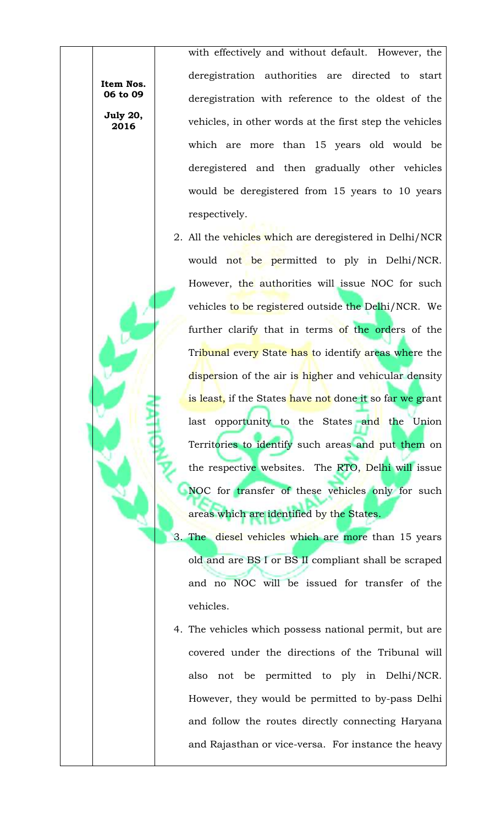**Item Nos. 06 to 09 July 20,** 

**2016**

with effectively and without default. However, the deregistration authorities are directed to start deregistration with reference to the oldest of the vehicles, in other words at the first step the vehicles which are more than 15 years old would be deregistered and then gradually other vehicles would be deregistered from 15 years to 10 years respectively.

- 2. All the vehicles which are deregistered in Delhi/NCR would not be permitted to ply in Delhi/NCR. However, the authorities will issue NOC for such vehicles to be registered outside the Delhi/NCR. We further clarify that in terms of the orders of the Tribunal every State has to identify areas where the dispersion of the air is higher and vehicular density is least, if the States have not done it so far we grant last opportunity to the States and the Union Territories to identify such areas and put them on the respective websites. The RTO, Delhi will issue NOC for transfer of these vehicles only for such areas which are identified by the States.
- 3. The diesel vehicles which are more than 15 years old and are BS I or BS II compliant shall be scraped and no NOC will be issued for transfer of the vehicles.
- 4. The vehicles which possess national permit, but are covered under the directions of the Tribunal will also not be permitted to ply in Delhi/NCR. However, they would be permitted to by-pass Delhi and follow the routes directly connecting Haryana and Rajasthan or vice-versa. For instance the heavy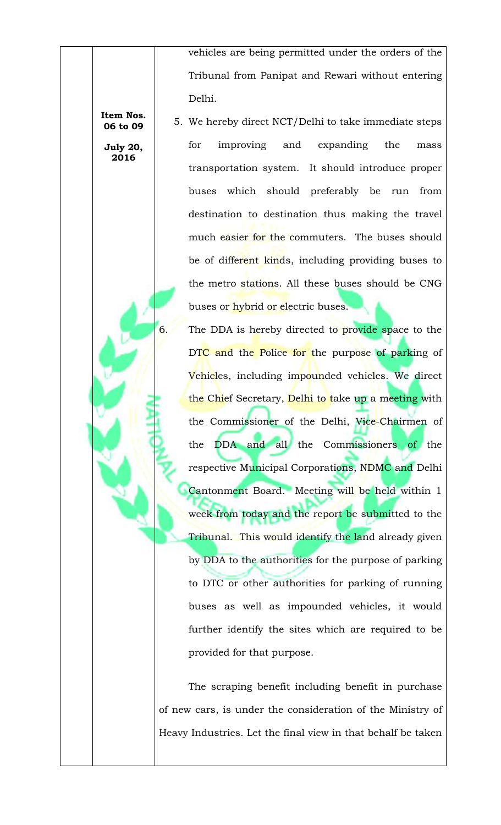vehicles are being permitted under the orders of the Tribunal from Panipat and Rewari without entering Delhi.

5. We hereby direct NCT/Delhi to take immediate steps for improving and expanding the mass transportation system. It should introduce proper buses which should preferably be run from destination to destination thus making the travel much easier for the commuters. The buses should be of different kinds, including providing buses to the metro stations. All these buses should be CNG buses or hybrid or electric buses.

6. The DDA is hereby directed to provide space to the DTC and the Police for the purpose of parking of Vehicles, including impounded vehicles. We direct the Chief Secretary, Delhi to take up a meeting with the Commissioner of the Delhi, Vice-Chairmen of the DDA and all the Commissioners of the respective Municipal Corporations, NDMC and Delhi Cantonment Board. Meeting will be held within 1 week from today and the report be submitted to the Tribunal. This would identify the land already given by DDA to the authorities for the purpose of parking to DTC or other authorities for parking of running buses as well as impounded vehicles, it would further identify the sites which are required to be provided for that purpose.

The scraping benefit including benefit in purchase of new cars, is under the consideration of the Ministry of Heavy Industries. Let the final view in that behalf be taken

**Item Nos. 06 to 09**

**July 20, 2016**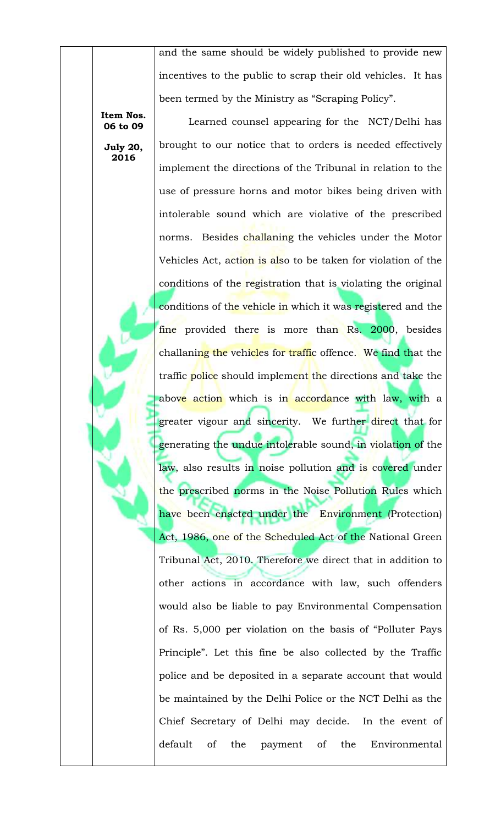and the same should be widely published to provide new incentives to the public to scrap their old vehicles. It has been termed by the Ministry as "Scraping Policy".

**Item Nos. 06 to 09**

**July 20, 2016**

Learned counsel appearing for the NCT/Delhi has brought to our notice that to orders is needed effectively implement the directions of the Tribunal in relation to the use of pressure horns and motor bikes being driven with intolerable sound which are violative of the prescribed norms. Besides challaning the vehicles under the Motor Vehicles Act, action is also to be taken for violation of the conditions of the registration that is violating the original conditions of the vehicle in which it was registered and the fine provided there is more than Rs. 2000, besides challaning the vehicles for traffic offence. We find that the traffic police should implement the directions and take the above action which is in accordance with law, with a greater vigour and sincerity. We further direct that for generating the undue intolerable sound, in violation of the law, also results in noise pollution and is covered under the prescribed norms in the Noise Pollution Rules which have been enacted under the Environment (Protection) Act, 1986, one of the Scheduled Act of the National Green Tribunal Act, 2010. Therefore we direct that in addition to other actions in accordance with law, such offenders would also be liable to pay Environmental Compensation of Rs. 5,000 per violation on the basis of "Polluter Pays Principle". Let this fine be also collected by the Traffic police and be deposited in a separate account that would be maintained by the Delhi Police or the NCT Delhi as the Chief Secretary of Delhi may decide. In the event of default of the payment of the Environmental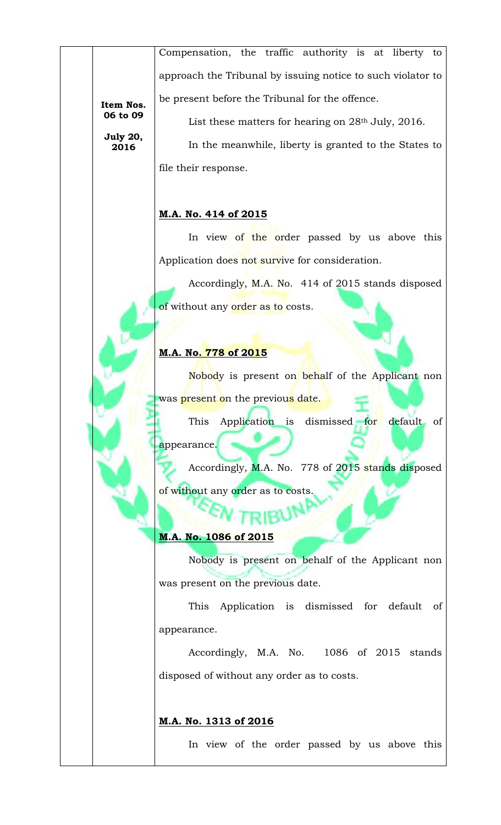Compensation, the traffic authority is at liberty to approach the Tribunal by issuing notice to such violator to be present before the Tribunal for the offence.

**Item Nos. 06 to 09**

**July 20, 2016**

List these matters for hearing on 28<sup>th</sup> July, 2016.

In the meanwhile, liberty is granted to the States to file their response.

# **M.A. No. 414 of 2015**

In view of the order passed by us above this Application does not survive for consideration.

Accordingly, M.A. No. 414 of 2015 stands disposed of without any order as to costs.

# **M.A. No. 778 of 2015**

Nobody is present on behalf of the Applicant non was present on the previous date.

This Application is dismissed for default of appearance.

Accordingly, M.A. No. 778 of 2015 stands disposed of without any order as to costs.

### **M.A. No. 1086 of 2015**

Nobody is present on behalf of the Applicant non was present on the previous date.

This Application is dismissed for default of appearance.

Accordingly, M.A. No. 1086 of 2015 stands disposed of without any order as to costs.

### **M.A. No. 1313 of 2016**

In view of the order passed by us above this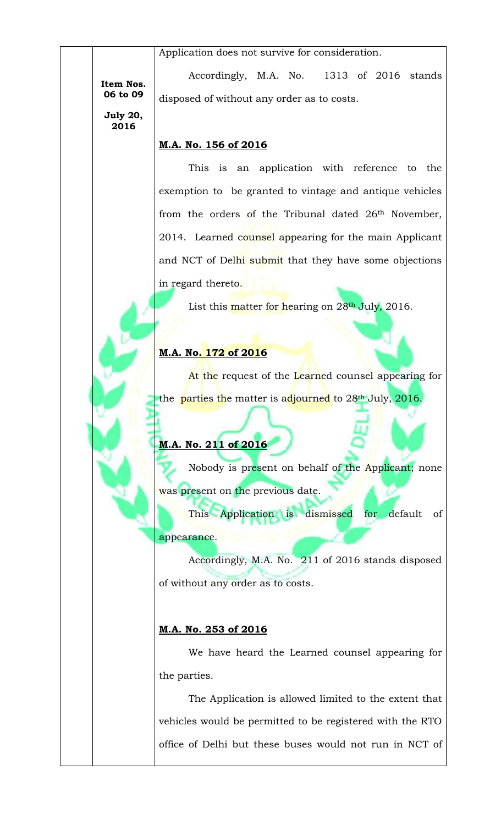Application does not survive for consideration.

**Item Nos. 06 to 09**

Accordingly, M.A. No. 1313 of 2016 stands disposed of without any order as to costs.

**July 20, 2016**

# **M.A. No. 156 of 2016**

This is an application with reference to the exemption to be granted to vintage and antique vehicles from the orders of the Tribunal dated 26<sup>th</sup> November, 2014. Learned counsel appearing for the main Applicant and NCT of Delhi submit that they have some objections in regard thereto.

List this matter for hearing on 28<sup>th</sup> July, 2016.

# **M.A. No. 172 of 2016**

At the request of the Learned counsel appearing for the parties the matter is adjourned to 28<sup>th</sup> July, 2016.

# **M.A. No. 211 of 2016**

Nobody is present on behalf of the Applicant; none was present on the previous date.

This Application is dismissed for default of appearance.

Accordingly, M.A. No. 211 of 2016 stands disposed of without any order as to costs.

# **M.A. No. 253 of 2016**

We have heard the Learned counsel appearing for the parties.

The Application is allowed limited to the extent that vehicles would be permitted to be registered with the RTO office of Delhi but these buses would not run in NCT of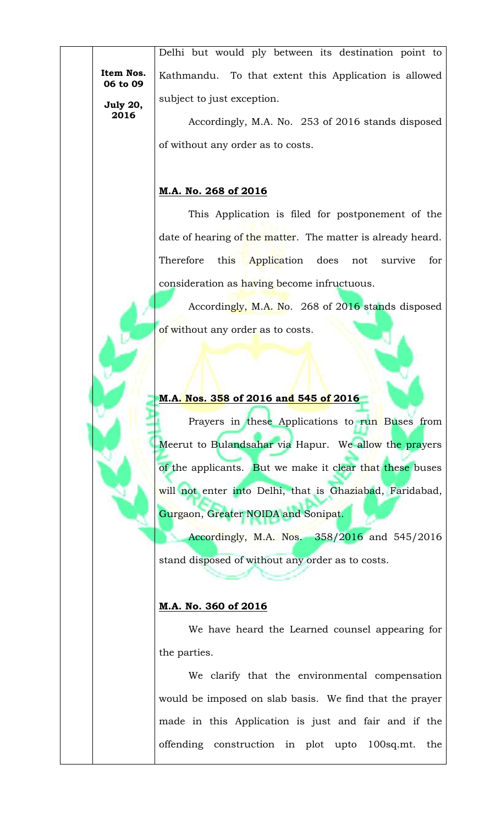**Item Nos. 06 to 09**

**July 20, 2016**

Delhi but would ply between its destination point to Kathmandu. To that extent this Application is allowed subject to just exception.

Accordingly, M.A. No. 253 of 2016 stands disposed of without any order as to costs.

# **M.A. No. 268 of 2016**

This Application is filed for postponement of the date of hearing of the matter. The matter is already heard. Therefore this Application does not survive for consideration as having become infructuous.

Accordingly, M.A. No. 268 of 2016 stands disposed of without any order as to costs.

# **M.A. Nos. 358 of 2016 and 545 of 2016**

Prayers in these Applications to run Buses from Meerut to Bulandsahar via Hapur. We allow the prayers of the applicants. But we make it clear that these buses will not enter into Delhi, that is Ghaziabad, Faridabad, Gurgaon, Greater NOIDA and Sonipat.

Accordingly, M.A. Nos. 358/2016 and 545/2016 stand disposed of without any order as to costs.

# **M.A. No. 360 of 2016**

We have heard the Learned counsel appearing for the parties.

We clarify that the environmental compensation would be imposed on slab basis. We find that the prayer made in this Application is just and fair and if the offending construction in plot upto 100sq.mt. the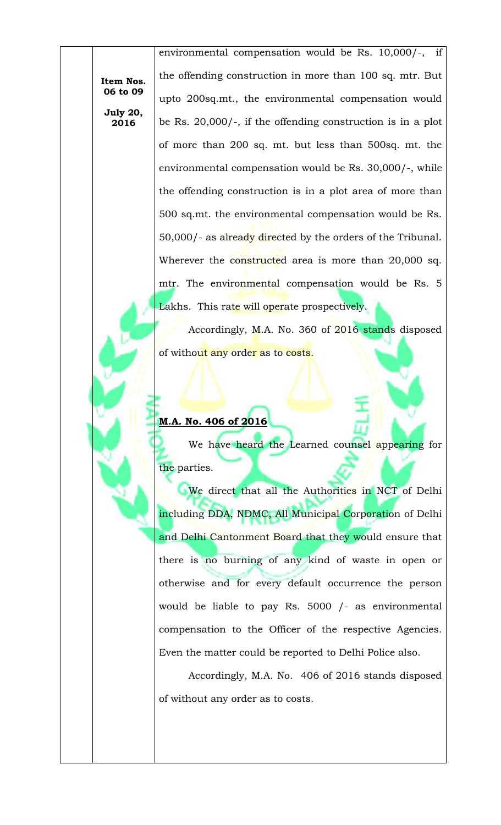**Item Nos. 06 to 09**

**July 20, 2016**

environmental compensation would be Rs. 10,000/-, if the offending construction in more than 100 sq. mtr. But upto 200sq.mt., the environmental compensation would be Rs. 20,000/-, if the offending construction is in a plot of more than 200 sq. mt. but less than 500sq. mt. the environmental compensation would be Rs. 30,000/-, while the offending construction is in a plot area of more than 500 sq.mt. the environmental compensation would be Rs. 50,000/- as already directed by the orders of the Tribunal. Wherever the constructed area is more than 20,000 sq. mtr. The environmental compensation would be Rs. 5 Lakhs. This rate will operate prospectively.

Accordingly, M.A. No. 360 of 2016 stands disposed of without any order as to costs.

### **M.A. No. 406 of 2016**

We have heard the Learned counsel appearing for the parties.

We direct that all the Authorities in NCT of Delhi including DDA, NDMC, All Municipal Corporation of Delhi and Delhi Cantonment Board that they would ensure that there is no burning of any kind of waste in open or otherwise and for every default occurrence the person would be liable to pay Rs. 5000 /- as environmental compensation to the Officer of the respective Agencies. Even the matter could be reported to Delhi Police also.

Accordingly, M.A. No. 406 of 2016 stands disposed of without any order as to costs.